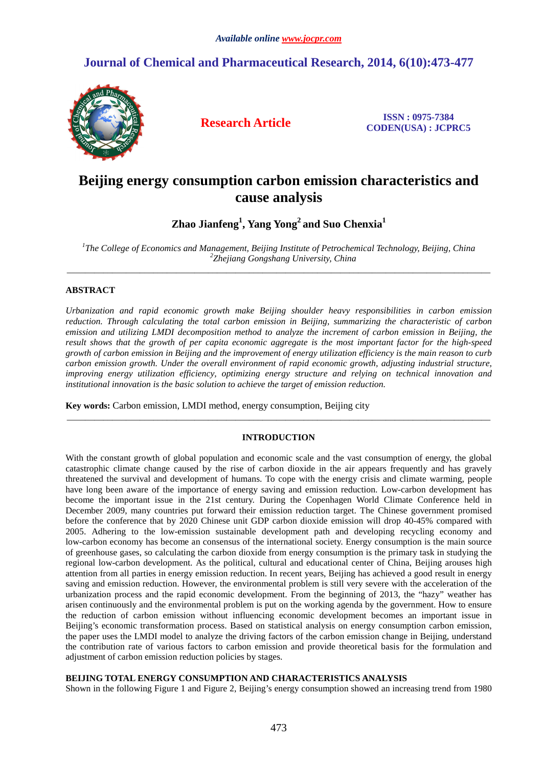## **Journal of Chemical and Pharmaceutical Research, 2014, 6(10):473-477**



**Research Article ISSN : 0975-7384 CODEN(USA) : JCPRC5**

# **Beijing energy consumption carbon emission characteristics and cause analysis**

**Zhao Jianfeng<sup>1</sup> , Yang Yong<sup>2</sup>and Suo Chenxia<sup>1</sup>**

*1 The College of Economics and Management, Beijing Institute of Petrochemical Technology, Beijing, China 2 Zhejiang Gongshang University, China*  \_\_\_\_\_\_\_\_\_\_\_\_\_\_\_\_\_\_\_\_\_\_\_\_\_\_\_\_\_\_\_\_\_\_\_\_\_\_\_\_\_\_\_\_\_\_\_\_\_\_\_\_\_\_\_\_\_\_\_\_\_\_\_\_\_\_\_\_\_\_\_\_\_\_\_\_\_\_\_\_\_\_\_\_\_\_\_\_\_\_\_\_\_

## **ABSTRACT**

*Urbanization and rapid economic growth make Beijing shoulder heavy responsibilities in carbon emission reduction. Through calculating the total carbon emission in Beijing, summarizing the characteristic of carbon emission and utilizing LMDI decomposition method to analyze the increment of carbon emission in Beijing, the result shows that the growth of per capita economic aggregate is the most important factor for the high-speed growth of carbon emission in Beijing and the improvement of energy utilization efficiency is the main reason to curb carbon emission growth. Under the overall environment of rapid economic growth, adjusting industrial structure, improving energy utilization efficiency, optimizing energy structure and relying on technical innovation and institutional innovation is the basic solution to achieve the target of emission reduction.* 

**Key words:** Carbon emission, LMDI method, energy consumption, Beijing city

#### **INTRODUCTION**

\_\_\_\_\_\_\_\_\_\_\_\_\_\_\_\_\_\_\_\_\_\_\_\_\_\_\_\_\_\_\_\_\_\_\_\_\_\_\_\_\_\_\_\_\_\_\_\_\_\_\_\_\_\_\_\_\_\_\_\_\_\_\_\_\_\_\_\_\_\_\_\_\_\_\_\_\_\_\_\_\_\_\_\_\_\_\_\_\_\_\_\_\_

With the constant growth of global population and economic scale and the vast consumption of energy, the global catastrophic climate change caused by the rise of carbon dioxide in the air appears frequently and has gravely threatened the survival and development of humans. To cope with the energy crisis and climate warming, people have long been aware of the importance of energy saving and emission reduction. Low-carbon development has become the important issue in the 21st century. During the Copenhagen World Climate Conference held in December 2009, many countries put forward their emission reduction target. The Chinese government promised before the conference that by 2020 Chinese unit GDP carbon dioxide emission will drop 40-45% compared with 2005. Adhering to the low-emission sustainable development path and developing recycling economy and low-carbon economy has become an consensus of the international society. Energy consumption is the main source of greenhouse gases, so calculating the carbon dioxide from energy consumption is the primary task in studying the regional low-carbon development. As the political, cultural and educational center of China, Beijing arouses high attention from all parties in energy emission reduction. In recent years, Beijing has achieved a good result in energy saving and emission reduction. However, the environmental problem is still very severe with the acceleration of the urbanization process and the rapid economic development. From the beginning of 2013, the "hazy" weather has arisen continuously and the environmental problem is put on the working agenda by the government. How to ensure the reduction of carbon emission without influencing economic development becomes an important issue in Beijing's economic transformation process. Based on statistical analysis on energy consumption carbon emission, the paper uses the LMDI model to analyze the driving factors of the carbon emission change in Beijing, understand the contribution rate of various factors to carbon emission and provide theoretical basis for the formulation and adjustment of carbon emission reduction policies by stages.

#### **BEIJING TOTAL ENERGY CONSUMPTION AND CHARACTERISTICS ANALYSIS**

Shown in the following Figure 1 and Figure 2, Beijing's energy consumption showed an increasing trend from 1980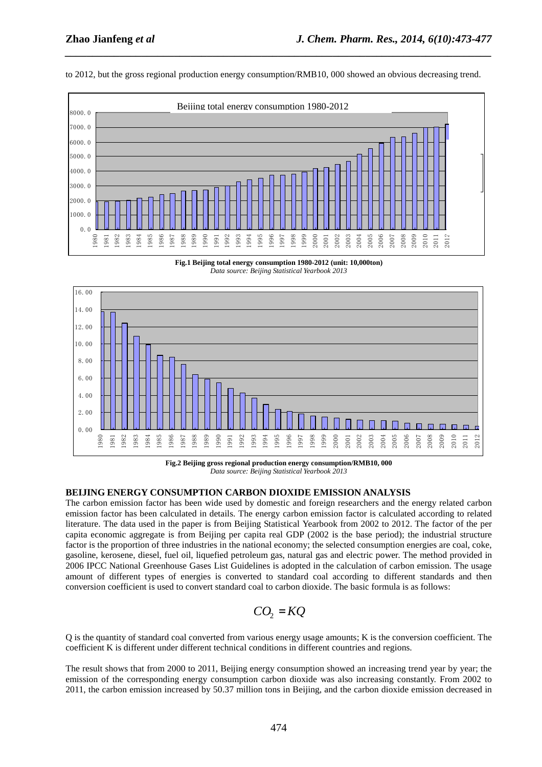

to 2012, but the gross regional production energy consumption/RMB10, 000 showed an obvious decreasing trend.

*\_\_\_\_\_\_\_\_\_\_\_\_\_\_\_\_\_\_\_\_\_\_\_\_\_\_\_\_\_\_\_\_\_\_\_\_\_\_\_\_\_\_\_\_\_\_\_\_\_\_\_\_\_\_\_\_\_\_\_\_\_\_\_\_\_\_\_\_\_\_\_\_\_\_\_\_\_\_*

**Fig.1 Beijing total energy consumption 1980-2012 (unit: 10,000ton)**  *Data source: Beijing Statistical Yearbook 2013*



**Fig.2 Beijing gross regional production energy consumption/RMB10, 000**  *Data source: Beijing Statistical Yearbook 2013* 

## **BEIJING ENERGY CONSUMPTION CARBON DIOXIDE EMISSION ANALYSIS**

The carbon emission factor has been wide used by domestic and foreign researchers and the energy related carbon emission factor has been calculated in details. The energy carbon emission factor is calculated according to related literature. The data used in the paper is from Beijing Statistical Yearbook from 2002 to 2012. The factor of the per capita economic aggregate is from Beijing per capita real GDP (2002 is the base period); the industrial structure factor is the proportion of three industries in the national economy; the selected consumption energies are coal, coke, gasoline, kerosene, diesel, fuel oil, liquefied petroleum gas, natural gas and electric power. The method provided in 2006 IPCC National Greenhouse Gases List Guidelines is adopted in the calculation of carbon emission. The usage amount of different types of energies is converted to standard coal according to different standards and then conversion coefficient is used to convert standard coal to carbon dioxide. The basic formula is as follows:

$$
CO_2 = KQ
$$

Q is the quantity of standard coal converted from various energy usage amounts; K is the conversion coefficient. The coefficient K is different under different technical conditions in different countries and regions.

The result shows that from 2000 to 2011, Beijing energy consumption showed an increasing trend year by year; the emission of the corresponding energy consumption carbon dioxide was also increasing constantly. From 2002 to 2011, the carbon emission increased by 50.37 million tons in Beijing, and the carbon dioxide emission decreased in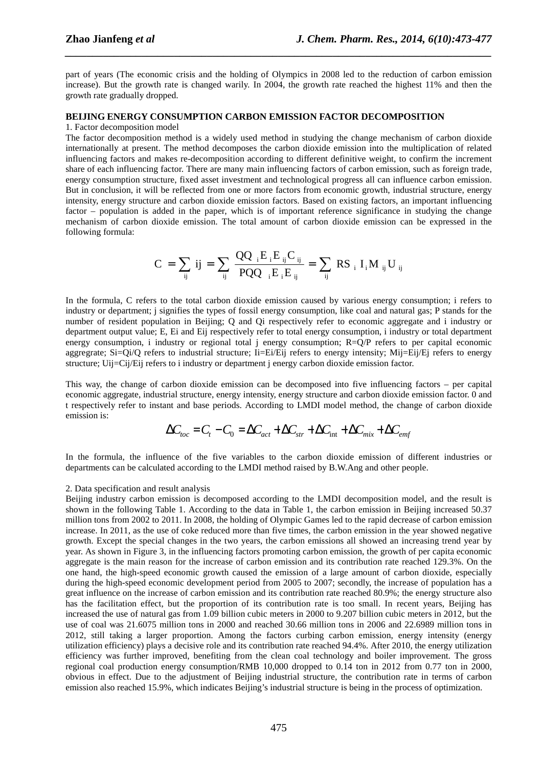part of years (The economic crisis and the holding of Olympics in 2008 led to the reduction of carbon emission increase). But the growth rate is changed warily. In 2004, the growth rate reached the highest 11% and then the growth rate gradually dropped.

*\_\_\_\_\_\_\_\_\_\_\_\_\_\_\_\_\_\_\_\_\_\_\_\_\_\_\_\_\_\_\_\_\_\_\_\_\_\_\_\_\_\_\_\_\_\_\_\_\_\_\_\_\_\_\_\_\_\_\_\_\_\_\_\_\_\_\_\_\_\_\_\_\_\_\_\_\_\_*

#### **BEIJING ENERGY CONSUMPTION CARBON EMISSION FACTOR DECOMPOSITION**

#### 1. Factor decomposition model

The factor decomposition method is a widely used method in studying the change mechanism of carbon dioxide internationally at present. The method decomposes the carbon dioxide emission into the multiplication of related influencing factors and makes re-decomposition according to different definitive weight, to confirm the increment share of each influencing factor. There are many main influencing factors of carbon emission, such as foreign trade, energy consumption structure, fixed asset investment and technological progress all can influence carbon emission. But in conclusion, it will be reflected from one or more factors from economic growth, industrial structure, energy intensity, energy structure and carbon dioxide emission factors. Based on existing factors, an important influencing factor – population is added in the paper, which is of important reference significance in studying the change mechanism of carbon dioxide emission. The total amount of carbon dioxide emission can be expressed in the following formula:

$$
C = \sum_{ij} ij = \sum_{ij} \frac{QQ_{i}E_{i}E_{ij}C_{ij}}{PQQ_{i}E_{i}E_{ij}} = \sum_{ij} RS_{i}I_{i}M_{ij}U_{ij}
$$

In the formula, C refers to the total carbon dioxide emission caused by various energy consumption; i refers to industry or department; j signifies the types of fossil energy consumption, like coal and natural gas; P stands for the number of resident population in Beijing; Q and Qi respectively refer to economic aggregate and i industry or department output value; E, Ei and Eij respectively refer to total energy consumption, i industry or total department energy consumption, i industry or regional total j energy consumption; R=Q/P refers to per capital economic aggregrate;  $Si=Qi/Q$  refers to industrial structure;  $Ii=Ei/Eij$  refers to energy intensity;  $Mij=Eij/Ej$  refers to energy structure; Uij=Cij/Eij refers to i industry or department j energy carbon dioxide emission factor.

This way, the change of carbon dioxide emission can be decomposed into five influencing factors – per capital economic aggregate, industrial structure, energy intensity, energy structure and carbon dioxide emission factor. 0 and t respectively refer to instant and base periods. According to LMDI model method, the change of carbon dioxide emission is:

$$
\Delta C_{loc} = C_{t} - C_{0} = \Delta C_{act} + \Delta C_{str} + \Delta C_{int} + \Delta C_{mix} + \Delta C_{emf}
$$

In the formula, the influence of the five variables to the carbon dioxide emission of different industries or departments can be calculated according to the LMDI method raised by B.W.Ang and other people.

#### 2. Data specification and result analysis

Beijing industry carbon emission is decomposed according to the LMDI decomposition model, and the result is shown in the following Table 1. According to the data in Table 1, the carbon emission in Beijing increased 50.37 million tons from 2002 to 2011. In 2008, the holding of Olympic Games led to the rapid decrease of carbon emission increase. In 2011, as the use of coke reduced more than five times, the carbon emission in the year showed negative growth. Except the special changes in the two years, the carbon emissions all showed an increasing trend year by year. As shown in Figure 3, in the influencing factors promoting carbon emission, the growth of per capita economic aggregate is the main reason for the increase of carbon emission and its contribution rate reached 129.3%. On the one hand, the high-speed economic growth caused the emission of a large amount of carbon dioxide, especially during the high-speed economic development period from 2005 to 2007; secondly, the increase of population has a great influence on the increase of carbon emission and its contribution rate reached 80.9%; the energy structure also has the facilitation effect, but the proportion of its contribution rate is too small. In recent years, Beijing has increased the use of natural gas from 1.09 billion cubic meters in 2000 to 9.207 billion cubic meters in 2012, but the use of coal was 21.6075 million tons in 2000 and reached 30.66 million tons in 2006 and 22.6989 million tons in 2012, still taking a larger proportion. Among the factors curbing carbon emission, energy intensity (energy utilization efficiency) plays a decisive role and its contribution rate reached 94.4%. After 2010, the energy utilization efficiency was further improved, benefiting from the clean coal technology and boiler improvement. The gross regional coal production energy consumption/RMB 10,000 dropped to 0.14 ton in 2012 from 0.77 ton in 2000, obvious in effect. Due to the adjustment of Beijing industrial structure, the contribution rate in terms of carbon emission also reached 15.9%, which indicates Beijing's industrial structure is being in the process of optimization.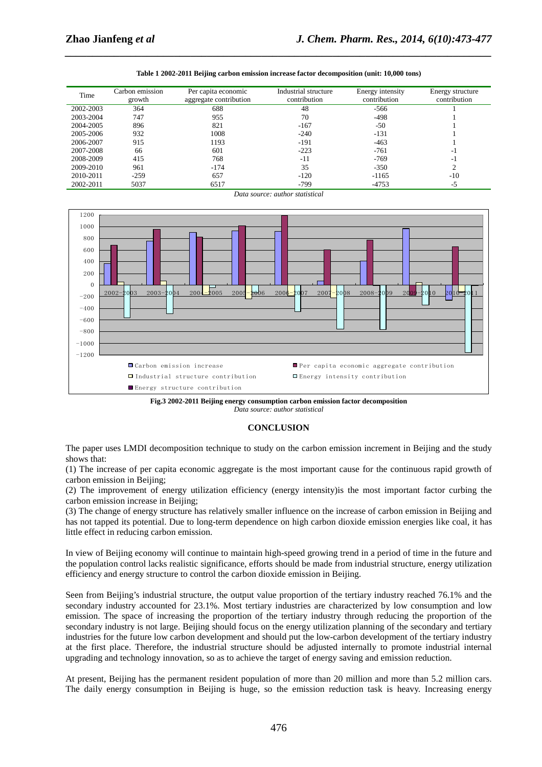| Table 1 2002-2011 Beijing carbon emission increase factor decomposition (unit: 10,000 tons) |  |
|---------------------------------------------------------------------------------------------|--|
|---------------------------------------------------------------------------------------------|--|

*\_\_\_\_\_\_\_\_\_\_\_\_\_\_\_\_\_\_\_\_\_\_\_\_\_\_\_\_\_\_\_\_\_\_\_\_\_\_\_\_\_\_\_\_\_\_\_\_\_\_\_\_\_\_\_\_\_\_\_\_\_\_\_\_\_\_\_\_\_\_\_\_\_\_\_\_\_\_*

| Time      | Carbon emission<br>growth | Per capita economic<br>aggregate contribution | Industrial structure<br>contribution | Energy intensity<br>contribution | Energy structure<br>contribution |
|-----------|---------------------------|-----------------------------------------------|--------------------------------------|----------------------------------|----------------------------------|
| 2002-2003 | 364                       | 688                                           | 48                                   | $-566$                           |                                  |
| 2003-2004 | 747                       | 955                                           | 70                                   | $-498$                           |                                  |
| 2004-2005 | 896                       | 821                                           | $-167$                               | -50                              |                                  |
| 2005-2006 | 932                       | 1008                                          | $-240$                               | $-131$                           |                                  |
| 2006-2007 | 915                       | 1193                                          | -191                                 | $-463$                           |                                  |
| 2007-2008 | 66                        | 601                                           | $-223$                               | $-761$                           | $-1$                             |
| 2008-2009 | 415                       | 768                                           | -11                                  | $-769$                           | - 1                              |
| 2009-2010 | 961                       | $-174$                                        | 35                                   | $-350$                           | ◠                                |
| 2010-2011 | $-259$                    | 657                                           | $-120$                               | $-1165$                          | $-10$                            |
| 2002-2011 | 5037                      | 6517                                          | $-799$                               | $-4753$                          | -5                               |

*Data source: author statistical* 



**Fig.3 2002-2011 Beijing energy consumption carbon emission factor decomposition**  *Data source: author statistical* 

#### **CONCLUSION**

The paper uses LMDI decomposition technique to study on the carbon emission increment in Beijing and the study shows that:

(1) The increase of per capita economic aggregate is the most important cause for the continuous rapid growth of carbon emission in Beijing;

(2) The improvement of energy utilization efficiency (energy intensity)is the most important factor curbing the carbon emission increase in Beijing;

(3) The change of energy structure has relatively smaller influence on the increase of carbon emission in Beijing and has not tapped its potential. Due to long-term dependence on high carbon dioxide emission energies like coal, it has little effect in reducing carbon emission.

In view of Beijing economy will continue to maintain high-speed growing trend in a period of time in the future and the population control lacks realistic significance, efforts should be made from industrial structure, energy utilization efficiency and energy structure to control the carbon dioxide emission in Beijing.

Seen from Beijing's industrial structure, the output value proportion of the tertiary industry reached 76.1% and the secondary industry accounted for 23.1%. Most tertiary industries are characterized by low consumption and low emission. The space of increasing the proportion of the tertiary industry through reducing the proportion of the secondary industry is not large. Beijing should focus on the energy utilization planning of the secondary and tertiary industries for the future low carbon development and should put the low-carbon development of the tertiary industry at the first place. Therefore, the industrial structure should be adjusted internally to promote industrial internal upgrading and technology innovation, so as to achieve the target of energy saving and emission reduction.

At present, Beijing has the permanent resident population of more than 20 million and more than 5.2 million cars. The daily energy consumption in Beijing is huge, so the emission reduction task is heavy. Increasing energy